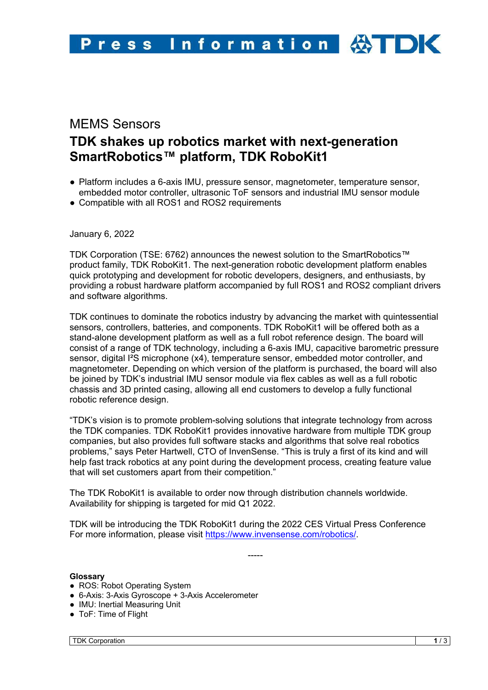## MEMS Sensors

# **TDK shakes up robotics market with next-generation SmartRobotics™ platform, TDK RoboKit1**

- Platform includes a 6-axis IMU, pressure sensor, magnetometer, temperature sensor, embedded motor controller, ultrasonic ToF sensors and industrial IMU sensor module
- Compatible with all ROS1 and ROS2 requirements

January 6, 2022

TDK Corporation (TSE: 6762) announces the newest solution to the SmartRobotics™ product family, TDK RoboKit1. The next-generation robotic development platform enables quick prototyping and development for robotic developers, designers, and enthusiasts, by providing a robust hardware platform accompanied by full ROS1 and ROS2 compliant drivers and software algorithms.

TDK continues to dominate the robotics industry by advancing the market with quintessential sensors, controllers, batteries, and components. TDK RoboKit1 will be offered both as a stand-alone development platform as well as a full robot reference design. The board will consist of a range of TDK technology, including a 6-axis IMU, capacitive barometric pressure sensor, digital I²S microphone (x4), temperature sensor, embedded motor controller, and magnetometer. Depending on which version of the platform is purchased, the board will also be joined by TDK's industrial IMU sensor module via flex cables as well as a full robotic chassis and 3D printed casing, allowing all end customers to develop a fully functional robotic reference design.

"TDK's vision is to promote problem-solving solutions that integrate technology from across the TDK companies. TDK RoboKit1 provides innovative hardware from multiple TDK group companies, but also provides full software stacks and algorithms that solve real robotics problems," says Peter Hartwell, CTO of InvenSense. "This is truly a first of its kind and will help fast track robotics at any point during the development process, creating feature value that will set customers apart from their competition."

The TDK RoboKit1 is available to order now through distribution channels worldwide. Availability for shipping is targeted for mid Q1 2022.

TDK will be introducing the TDK RoboKit1 during the 2022 CES Virtual Press Conference For more information, please visit https://www.invensense.com/robotics/.

-----

## **Glossary**

- ROS: Robot Operating System
- 6-Axis: 3-Axis Gyroscope + 3-Axis Accelerometer
- IMU: Inertial Measuring Unit
- ToF: Time of Flight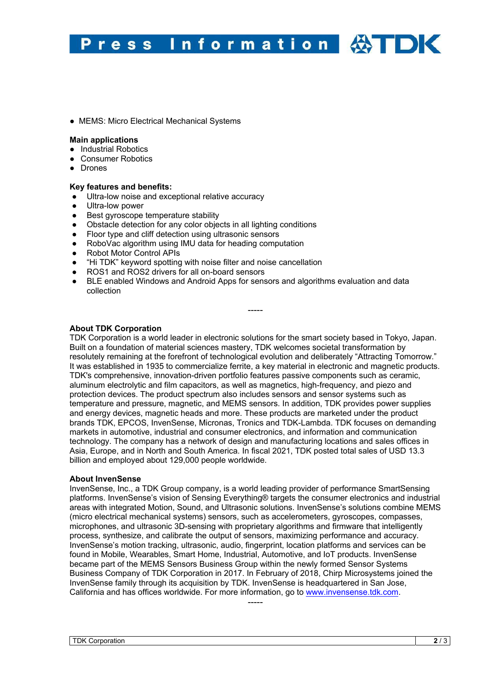#### Information **HOK** Press

● MEMS: Micro Electrical Mechanical Systems

#### **Main applications**

- Industrial Robotics
- Consumer Robotics
- Drones

#### **Key features and benefits:**

- Ultra-low noise and exceptional relative accuracy
- Ultra-low power
- Best gyroscope temperature stability
- Obstacle detection for any color objects in all lighting conditions
- Floor type and cliff detection using ultrasonic sensors
- RoboVac algorithm using IMU data for heading computation
- Robot Motor Control APIs
- "Hi TDK" keyword spotting with noise filter and noise cancellation
- ROS1 and ROS2 drivers for all on-board sensors
- BLE enabled Windows and Android Apps for sensors and algorithms evaluation and data collection

### **About TDK Corporation**

TDK Corporation is a world leader in electronic solutions for the smart society based in Tokyo, Japan. Built on a foundation of material sciences mastery, TDK welcomes societal transformation by resolutely remaining at the forefront of technological evolution and deliberately "Attracting Tomorrow." It was established in 1935 to commercialize ferrite, a key material in electronic and magnetic products. TDK's comprehensive, innovation-driven portfolio features passive components such as ceramic, aluminum electrolytic and film capacitors, as well as magnetics, high-frequency, and piezo and protection devices. The product spectrum also includes sensors and sensor systems such as temperature and pressure, magnetic, and MEMS sensors. In addition, TDK provides power supplies and energy devices, magnetic heads and more. These products are marketed under the product brands TDK, EPCOS, InvenSense, Micronas, Tronics and TDK-Lambda. TDK focuses on demanding markets in automotive, industrial and consumer electronics, and information and communication technology. The company has a network of design and manufacturing locations and sales offices in Asia, Europe, and in North and South America. In fiscal 2021, TDK posted total sales of USD 13.3 billion and employed about 129,000 people worldwide.

-----

#### **About InvenSense**

InvenSense, Inc., a TDK Group company, is a world leading provider of performance SmartSensing platforms. InvenSense's vision of Sensing Everything® targets the consumer electronics and industrial areas with integrated Motion, Sound, and Ultrasonic solutions. InvenSense's solutions combine MEMS (micro electrical mechanical systems) sensors, such as accelerometers, gyroscopes, compasses, microphones, and ultrasonic 3D-sensing with proprietary algorithms and firmware that intelligently process, synthesize, and calibrate the output of sensors, maximizing performance and accuracy. InvenSense's motion tracking, ultrasonic, audio, fingerprint, location platforms and services can be found in Mobile, Wearables, Smart Home, Industrial, Automotive, and IoT products. InvenSense became part of the MEMS Sensors Business Group within the newly formed Sensor Systems Business Company of TDK Corporation in 2017. In February of 2018, Chirp Microsystems joined the InvenSense family through its acquisition by TDK. InvenSense is headquartered in San Jose, California and has offices worldwide. For more information, go to www.invensense.tdk.com.